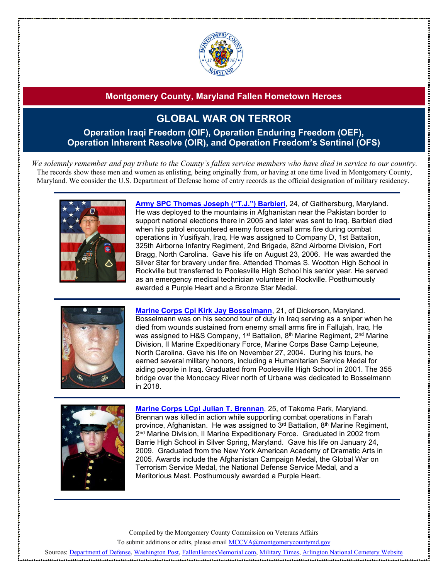

# **GLOBAL WAR ON TERROR**

**Operation Iraqi Freedom (OIF), Operation Enduring Freedom (OEF), Operation Inherent Resolve (OIR), and Operation Freedom's Sentinel (OFS)**

*We solemnly remember and pay tribute to the County's fallen service members who have died in service to our country.* The records show these men and women as enlisting, being originally from, or having at one time lived in Montgomery County, Maryland. We consider the U.S. Department of Defense home of entry records as the official designation of military residency.



**Army SPC [Thomas Joseph \("T.J."\)](http://www.arlingtoncemetery.net/tjbarbieri.htm) Barbieri**, 24, of Gaithersburg, Maryland. He was deployed to the mountains in Afghanistan near the Pakistan border to support national elections there in 2005 and later was sent to Iraq. Barbieri died when his patrol encountered enemy forces small arms fire during combat operations in Yusifiyah, Iraq. He was assigned to Company D, 1st Battalion, 325th Airborne Infantry Regiment, 2nd Brigade, 82nd Airborne Division, Fort Bragg, North Carolina. Gave his life on August 23, 2006. He was awarded the Silver Star for bravery under fire. Attended Thomas S. Wootton High School in Rockville but transferred to Poolesville High School his senior year. He served as an emergency medical technician volunteer in Rockville. Posthumously awarded a Purple Heart and a Bronze Star Medal.



**Marine Corps Cpl Kirk Jay [Bosselmann](https://www.latimes.com/archives/la-xpm-2004-dec-05-me-bosselmann5-story.html)**, 21, of Dickerson, Maryland. Bosselmann was on his second tour of duty in Iraq serving as a sniper when he died from wounds sustained from enemy small arms fire in Fallujah, Iraq. He was assigned to H&S Company, 1<sup>st</sup> Battalion, 8<sup>th</sup> Marine Regiment, 2<sup>nd</sup> Marine Division, II Marine Expeditionary Force, Marine Corps Base Camp Lejeune, North Carolina. Gave his life on November 27, 2004. During his tours, he earned several military honors, including a Humanitarian Service Medal for aiding people in Iraq. Graduated from Poolesville High School in 2001. The 355 bridge over the Monocacy River north of Urbana was dedicated to Bosselmann in 2018.



**[Marine Corps LCpl Julian T. Brennan](http://www.arlingtoncemetery.net/jtbrennan.htm)**, 25, of Takoma Park, Maryland. Brennan was killed in action while supporting combat operations in Farah province, Afghanistan. He was assigned to 3<sup>rd</sup> Battalion, 8<sup>th</sup> Marine Regiment, 2<sup>nd</sup> Marine Division, II Marine Expeditionary Force. Graduated in 2002 from Barrie High School in Silver Spring, Maryland. Gave his life on January 24, 2009. Graduated from the New York American Academy of Dramatic Arts in 2005. Awards include the Afghanistan Campaign Medal, the Global War on Terrorism Service Medal, the National Defense Service Medal, and a Meritorious Mast. Posthumously awarded a Purple Heart.

Compiled by the Montgomery County Commission on Veterans Affairs

To submit additions or edits, please emai[l MCCVA@montgomerycountymd.gov](mailto:MCCVA@montgomerycountymd.gov)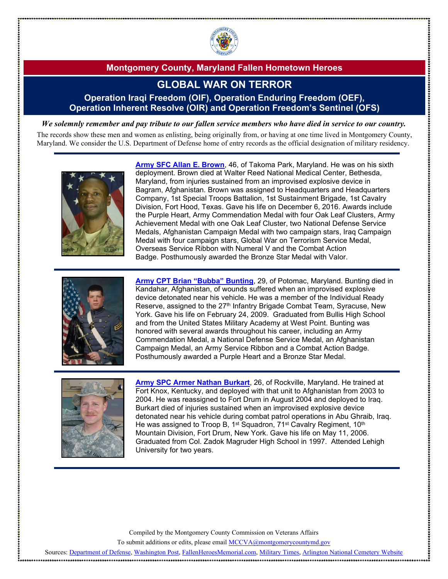

## **GLOBAL WAR ON TERROR**

#### **Operation Iraqi Freedom (OIF), Operation Enduring Freedom (OEF), Operation Inherent Resolve (OIR) and Operation Freedom's Sentinel (OFS)**

*We solemnly remember and pay tribute to our fallen service members who have died in service to our country.*

The records show these men and women as enlisting, being originally from, or having at one time lived in Montgomery County, Maryland. We consider the U.S. Department of Defense home of entry records as the official designation of military residency.



**Army SFC [Allan E. Brown](https://www.military.com/daily-news/2016/12/08/3rd-1st-cav-soldier-dies-afghanistan-suicide-bombing.html)**, 46, of Takoma Park, Maryland. He was on his sixth deployment. Brown died at Walter Reed National Medical Center, Bethesda, Maryland, from injuries sustained from an improvised explosive device in Bagram, Afghanistan. Brown was assigned to Headquarters and Headquarters Company, 1st Special Troops Battalion, 1st Sustainment Brigade, 1st Cavalry Division, Fort Hood, Texas. Gave his life on December 6, 2016. Awards include the Purple Heart, Army Commendation Medal with four Oak Leaf Clusters, Army Achievement Medal with one Oak Leaf Cluster, two National Defense Service Medals, Afghanistan Campaign Medal with two campaign stars, Iraq Campaign Medal with four campaign stars, Global War on Terrorism Service Medal, Overseas Service Ribbon with Numeral V and the Combat Action Badge. Posthumously awarded the Bronze Star Medal with Valor.



**[Army CPT Brian "Bubba"](http://www.arlingtoncemetery.net/bmbunting.htm) Bunting**, 29, of Potomac, Maryland. Bunting died in Kandahar, Afghanistan, of wounds suffered when an improvised explosive device detonated near his vehicle. He was a member of the Individual Ready Reserve, assigned to the 27<sup>th</sup> Infantry Brigade Combat Team, Syracuse, New York. Gave his life on February 24, 2009. Graduated from Bullis High School and from the United States Military Academy at West Point. Bunting was honored with several awards throughout his career, including an Army Commendation Medal, a National Defense Service Medal, an Afghanistan Campaign Medal, an Army Service Ribbon and a Combat Action Badge. Posthumously awarded a Purple Heart and a Bronze Star Medal.



**Army SPC [Armer Nathan Burkart](http://www.arlingtoncemetery.net/anburkart.htm)**, 26, of Rockville, Maryland. He trained at Fort Knox, Kentucky, and deployed with that unit to Afghanistan from 2003 to 2004. He was reassigned to Fort Drum in August 2004 and deployed to Iraq. Burkart died of injuries sustained when an improvised explosive device detonated near his vehicle during combat patrol operations in Abu Ghraib, Iraq. He was assigned to Troop B, 1<sup>st</sup> Squadron, 71<sup>st</sup> Cavalry Regiment, 10<sup>th</sup> Mountain Division, Fort Drum, New York. Gave his life on May 11, 2006. Graduated from Col. Zadok Magruder High School in 1997. Attended Lehigh University for two years.

Compiled by the Montgomery County Commission on Veterans Affairs

To submit additions or edits, please emai[l MCCVA@montgomerycountymd.gov](mailto:MCCVA@montgomerycountymd.gov)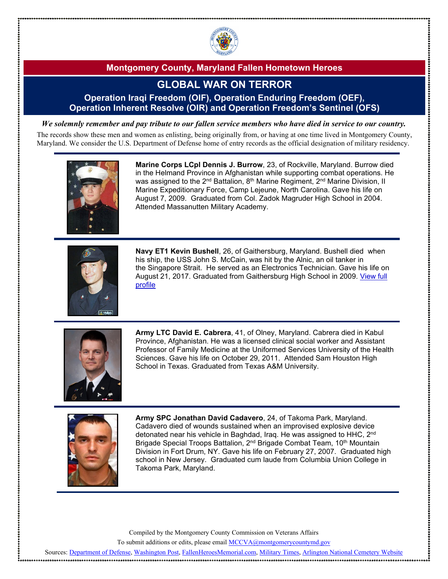

# **GLOBAL WAR ON TERROR**

#### **Operation Iraqi Freedom (OIF), Operation Enduring Freedom (OEF), Operation Inherent Resolve (OIR) and Operation Freedom's Sentinel (OFS)**

*We solemnly remember and pay tribute to our fallen service members who have died in service to our country.*

The records show these men and women as enlisting, being originally from, or having at one time lived in Montgomery County, Maryland. We consider the U.S. Department of Defense home of entry records as the official designation of military residency.



**Marine Corps LCpl Dennis J. Burrow**, 23, of Rockville, Maryland. Burrow died in the Helmand Province in Afghanistan while supporting combat operations. He was assigned to the 2<sup>nd</sup> Battalion, 8<sup>th</sup> Marine Regiment, 2<sup>nd</sup> Marine Division, II Marine Expeditionary Force, Camp Lejeune, North Carolina. Gave his life on August 7, 2009. Graduated from Col. Zadok Magruder High School in 2004. Attended Massanutten Military Academy.



**Navy ET1 Kevin Bushell**, 26, of Gaithersburg, Maryland. Bushell died when his ship, the USS John S. McCain, was hit by the Alnic, an oil tanker in the Singapore Strait. He served as an Electronics Technician. Gave his life on August 21, 2017. Graduated from Gaithersburg High School in 2009. [View full](https://www.montgomerycountymd.gov/HHS-Program/Resources/Files/A%26D%20Docs/GWOT/KevinBushellPortrait.pdf)  [profile](https://www.montgomerycountymd.gov/HHS-Program/Resources/Files/A%26D%20Docs/GWOT/KevinBushellPortrait.pdf)



**Army LTC David E. Cabrera**, 41, of Olney, Maryland. Cabrera died in Kabul Province, Afghanistan. He was a licensed clinical social worker and Assistant Professor of Family Medicine at the Uniformed Services University of the Health Sciences. Gave his life on October 29, 2011. Attended Sam Houston High School in Texas. Graduated from Texas A&M University.



**Army SPC Jonathan David Cadavero**, 24, of Takoma Park, Maryland. Cadavero died of wounds sustained when an improvised explosive device detonated near his vehicle in Baghdad, Iraq. He was assigned to HHC, 2<sup>nd</sup> Brigade Special Troops Battalion, 2<sup>nd</sup> Brigade Combat Team, 10<sup>th</sup> Mountain Division in Fort Drum, NY. Gave his life on February 27, 2007. Graduated high school in New Jersey. Graduated cum laude from Columbia Union College in Takoma Park, Maryland.

Compiled by the Montgomery County Commission on Veterans Affairs

To submit additions or edits, please emai[l MCCVA@montgomerycountymd.gov](mailto:MCCVA@montgomerycountymd.gov)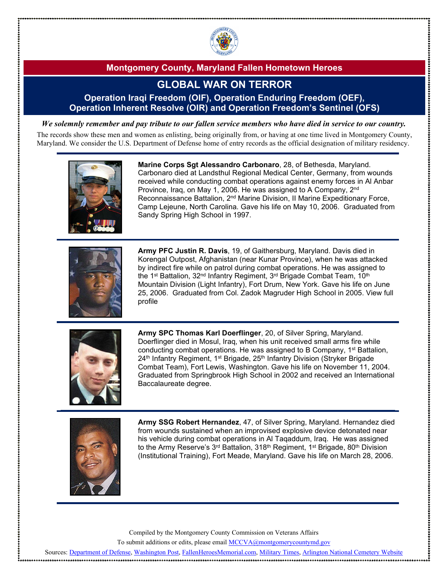

## **GLOBAL WAR ON TERROR**

### **Operation Iraqi Freedom (OIF), Operation Enduring Freedom (OEF), Operation Inherent Resolve (OIR) and Operation Freedom's Sentinel (OFS)**

*We solemnly remember and pay tribute to our fallen service members who have died in service to our country.*

The records show these men and women as enlisting, being originally from, or having at one time lived in Montgomery County, Maryland. We consider the U.S. Department of Defense home of entry records as the official designation of military residency.



**Marine Corps Sgt Alessandro Carbonaro**, 28, of Bethesda, Maryland. Carbonaro died at Landsthul Regional Medical Center, Germany, from wounds received while conducting combat operations against enemy forces in Al Anbar Province, Iraq, on May 1, 2006. He was assigned to A Company, 2nd Reconnaissance Battalion, 2nd Marine Division, II Marine Expeditionary Force, Camp Lejeune, North Carolina. Gave his life on May 10, 2006. Graduated from Sandy Spring High School in 1997.



**Army PFC Justin R. Davis**, 19, of Gaithersburg, Maryland. Davis died in Korengal Outpost, Afghanistan (near Kunar Province), when he was attacked by indirect fire while on patrol during combat operations. He was assigned to the 1<sup>st</sup> Battalion, 32<sup>nd</sup> Infantry Regiment, 3<sup>rd</sup> Brigade Combat Team, 10<sup>th</sup> Mountain Division (Light Infantry), Fort Drum, New York. Gave his life on June 25, 2006. Graduated from Col. Zadok Magruder High School in 2005. View full profile



**Army SPC Thomas Karl Doerflinger**, 20, of Silver Spring, Maryland. Doerflinger died in Mosul, Iraq, when his unit received small arms fire while conducting combat operations. He was assigned to B Company, 1st Battalion, 24<sup>th</sup> Infantry Regiment, 1<sup>st</sup> Brigade, 25<sup>th</sup> Infantry Division (Stryker Brigade Combat Team), Fort Lewis, Washington. Gave his life on November 11, 2004. Graduated from Springbrook High School in 2002 and received an International Baccalaureate degree.



**Army SSG Robert Hernandez**, 47, of Silver Spring, Maryland. Hernandez died from wounds sustained when an improvised explosive device detonated near his vehicle during combat operations in Al Taqaddum, Iraq. He was assigned to the Army Reserve's 3<sup>rd</sup> Battalion, 318<sup>th</sup> Regiment, 1<sup>st</sup> Brigade, 80<sup>th</sup> Division (Institutional Training), Fort Meade, Maryland. Gave his life on March 28, 2006.

Compiled by the Montgomery County Commission on Veterans Affairs

To submit additions or edits, please emai[l MCCVA@montgomerycountymd.gov](mailto:MCCVA@montgomerycountymd.gov)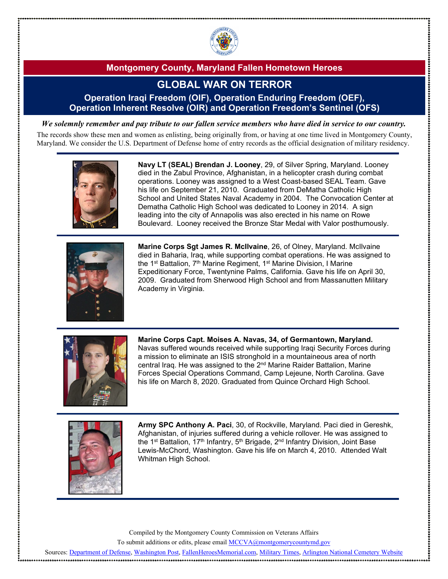

# **GLOBAL WAR ON TERROR**

### **Operation Iraqi Freedom (OIF), Operation Enduring Freedom (OEF), Operation Inherent Resolve (OIR) and Operation Freedom's Sentinel (OFS)**

*We solemnly remember and pay tribute to our fallen service members who have died in service to our country.*

The records show these men and women as enlisting, being originally from, or having at one time lived in Montgomery County, Maryland. We consider the U.S. Department of Defense home of entry records as the official designation of military residency.



**Navy LT (SEAL) Brendan J. Looney**, 29, of Silver Spring, Maryland. Looney died in the Zabul Province, Afghanistan, in a helicopter crash during combat operations. Looney was assigned to a West Coast-based SEAL Team. Gave his life on September 21, 2010. Graduated from DeMatha Catholic High School and United States Naval Academy in 2004. The Convocation Center at Dematha Catholic High School was dedicated to Looney in 2014. A sign leading into the city of Annapolis was also erected in his name on Rowe Boulevard. Looney received the Bronze Star Medal with Valor posthumously.



**Marine Corps Sgt James R. McIlvaine**, 26, of Olney, Maryland. McIlvaine died in Baharia, Iraq, while supporting combat operations. He was assigned to the 1<sup>st</sup> Battalion, 7<sup>th</sup> Marine Regiment, 1<sup>st</sup> Marine Division, I Marine Expeditionary Force, Twentynine Palms, California. Gave his life on April 30, 2009. Graduated from Sherwood High School and from Massanutten Military Academy in Virginia.



**Marine Corps Capt. Moises A. Navas, 34, of Germantown, Maryland.**  Navas suffered wounds received while supporting Iraqi Security Forces during a mission to eliminate an ISIS stronghold in a mountaineous area of north central Iraq. He was assigned to the 2nd Marine Raider Battalion, Marine Forces Special Operations Command, Camp Lejeune, North Carolina. Gave his life on March 8, 2020. Graduated from Quince Orchard High School.



**Army SPC Anthony A. Paci**, 30, of Rockville, Maryland. Paci died in Gereshk, Afghanistan, of injuries suffered during a vehicle rollover. He was assigned to the 1<sup>st</sup> Battalion, 17<sup>th</sup> Infantry, 5<sup>th</sup> Brigade, 2<sup>nd</sup> Infantry Division, Joint Base Lewis-McChord, Washington. Gave his life on March 4, 2010. Attended Walt Whitman High School.

Compiled by the Montgomery County Commission on Veterans Affairs

To submit additions or edits, please emai[l MCCVA@montgomerycountymd.gov](mailto:MCCVA@montgomerycountymd.gov)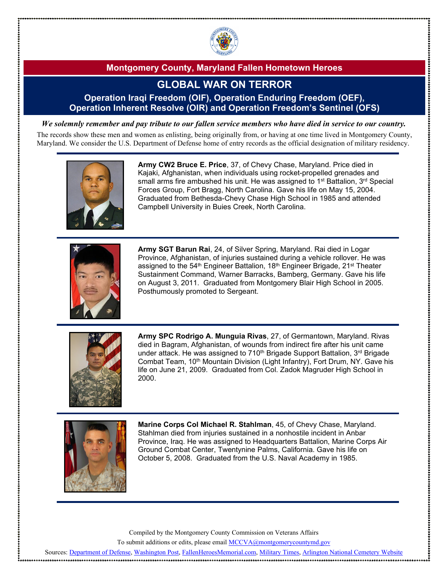

# **GLOBAL WAR ON TERROR**

#### **Operation Iraqi Freedom (OIF), Operation Enduring Freedom (OEF), Operation Inherent Resolve (OIR) and Operation Freedom's Sentinel (OFS)**

*We solemnly remember and pay tribute to our fallen service members who have died in service to our country.*

The records show these men and women as enlisting, being originally from, or having at one time lived in Montgomery County, Maryland. We consider the U.S. Department of Defense home of entry records as the official designation of military residency.



**Army CW2 Bruce E. Price**, 37, of Chevy Chase, Maryland. Price died in Kajaki, Afghanistan, when individuals using rocket-propelled grenades and small arms fire ambushed his unit. He was assigned to 1<sup>st</sup> Battalion,  $3^{rd}$  Special Forces Group, Fort Bragg, North Carolina. Gave his life on May 15, 2004. Graduated from Bethesda-Chevy Chase High School in 1985 and attended Campbell University in Buies Creek, North Carolina.



**Army SGT Barun Rai**, 24, of Silver Spring, Maryland. Rai died in Logar Province, Afghanistan, of injuries sustained during a vehicle rollover. He was assigned to the 54<sup>th</sup> Engineer Battalion, 18<sup>th</sup> Engineer Brigade, 21<sup>st</sup> Theater Sustainment Command, Warner Barracks, Bamberg, Germany. Gave his life on August 3, 2011. Graduated from Montgomery Blair High School in 2005. Posthumously promoted to Sergeant.



**Army SPC Rodrigo A. Munguia Rivas**, 27, of Germantown, Maryland. Rivas died in Bagram, Afghanistan, of wounds from indirect fire after his unit came under attack. He was assigned to 710<sup>th</sup> Brigade Support Battalion, 3<sup>rd</sup> Brigade Combat Team, 10<sup>th</sup> Mountain Division (Light Infantry), Fort Drum, NY. Gave his life on June 21, 2009. Graduated from Col. Zadok Magruder High School in 2000.



**Marine Corps Col Michael R. Stahlman**, 45, of Chevy Chase, Maryland. Stahlman died from injuries sustained in a nonhostile incident in Anbar Province, Iraq. He was assigned to Headquarters Battalion, Marine Corps Air Ground Combat Center, Twentynine Palms, California. Gave his life on October 5, 2008. Graduated from the U.S. Naval Academy in 1985.

Compiled by the Montgomery County Commission on Veterans Affairs

To submit additions or edits, please emai[l MCCVA@montgomerycountymd.gov](mailto:MCCVA@montgomerycountymd.gov)